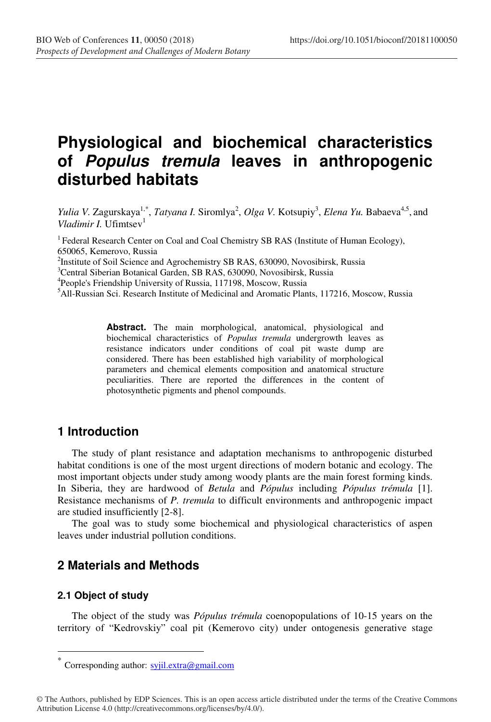# **Physiological and biochemical characteristics of Populus tremula leaves in anthropogenic disturbed habitats**

*Yulia V. Zagurskaya<sup>1,\*</sup>, <i>Tatyana I. Siromlya<sup>2</sup>, Olga V. Kotsupiy<sup>3</sup>, <i>Elena Yu. Babaeva<sup>4,5</sup>, and Vladimir I.* Ufimtsev

<sup>1</sup> Federal Research Center on Coal and Coal Chemistry SB RAS (Institute of Human Ecology), 650065, Kemerovo, Russia

<sup>2</sup>Institute of Soil Science and Agrochemistry SB RAS, 630090, Novosibirsk, Russia <sup>3</sup>Central Siberian Botanical Garden, SB RAS, 630090, Novosibirsk, Russia

<sup>3</sup>Central Siberian Botanical Garden, SB RAS, 630090, Novosibirsk, Russia

<sup>4</sup>People's Friendship University of Russia, 117198, Moscow, Russia

<sup>5</sup>All-Russian Sci. Research Institute of Medicinal and Aromatic Plants, 117216, Moscow, Russia

**Abstract.** The main morphological, anatomical, physiological and biochemical characteristics of *Populus tremula* undergrowth leaves as resistance indicators under conditions of coal pit waste dump are considered. There has been established high variability of morphological parameters and chemical elements composition and anatomical structure peculiarities. There are reported the differences in the content of photosynthetic pigments and phenol compounds.

## **1 Introduction**

The study of plant resistance and adaptation mechanisms to anthropogenic disturbed habitat conditions is one of the most urgent directions of modern botanic and ecology. The most important objects under study among woody plants are the main forest forming kinds. In Siberia, they are hardwood of *Betula* and *Pópulus* including *Pópulus trémula* [1]. Resistance mechanisms of *P. tremula* to difficult environments and anthropogenic impact are studied insufficiently [2-8].

The goal was to study some biochemical and physiological characteristics of aspen leaves under industrial pollution conditions.

## **2 Materials and Methods**

#### **2.1 Object of study**

 $\overline{a}$ 

The object of the study was *Pópulus trémula* coenopopulations of 10-15 years on the territory of "Kedrovskiy" coal pit (Kemerovo city) under ontogenesis generative stage

Corresponding author:  $s$ yjil.extra@gmail.com

<sup>©</sup> The Authors, published by EDP Sciences. This is an open access article distributed under the terms of the Creative Commons Attribution License 4.0 (http://creativecommons.org/licenses/by/4.0/).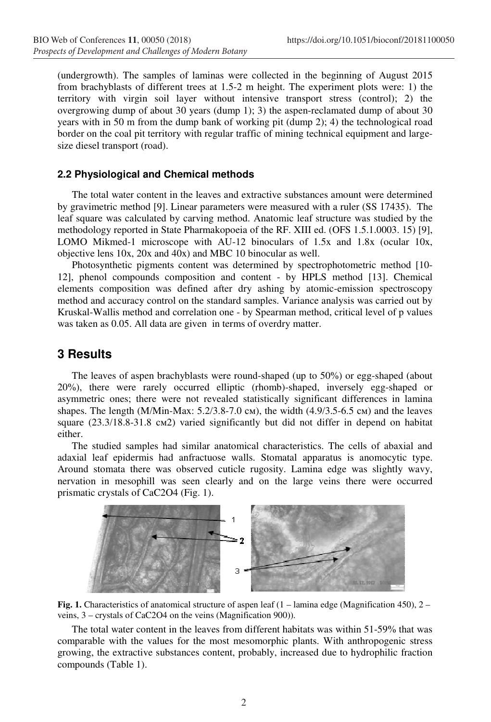(undergrowth). The samples of laminas were collected in the beginning of August 2015 from brachyblasts of different trees at 1.5-2 m height. The experiment plots were: 1) the territory with virgin soil layer without intensive transport stress (control); 2) the overgrowing dump of about 30 years (dump 1); 3) the aspen-reclamated dump of about 30 years with in 50 m from the dump bank of working pit (dump 2); 4) the technological road border on the coal pit territory with regular traffic of mining technical equipment and largesize diesel transport (road).

### **2.2 Physiological and Chemical methods**

The total water content in the leaves and extractive substances amount were determined by gravimetric method [9]. Linear parameters were measured with a ruler (SS 17435). The leaf square was calculated by carving method. Anatomic leaf structure was studied by the methodology reported in State Pharmakopoeia of the RF. XIII ed. (OFS 1.5.1.0003. 15) [9], LOMO Mikmed-1 microscope with AU-12 binoculars of 1.5x and 1.8x (ocular 10x, objective lens 10x, 20x and 40x) and MBC 10 binocular as well.

Photosynthetic pigments content was determined by spectrophotometric method [10- 12], phenol compounds composition and content - by HPLS method [13]. Chemical elements composition was defined after dry ashing by atomic-emission spectroscopy method and accuracy control on the standard samples. Variance analysis was carried out by Kruskal-Wallis method and correlation one - by Spearman method, critical level of p values was taken as 0.05. All data are given in terms of overdry matter.

## **3 Results**

The leaves of aspen brachyblasts were round-shaped (up to 50%) or egg-shaped (about 20%), there were rarely occurred elliptic (rhomb)-shaped, inversely egg-shaped or asymmetric ones; there were not revealed statistically significant differences in lamina shapes. The length (M/Min-Max:  $5.2/3.8-7.0$  cm), the width (4.9/3.5-6.5 cm) and the leaves square (23.3/18.8-31.8 см2) varied significantly but did not differ in depend on habitat either.

The studied samples had similar anatomical characteristics. The cells of abaxial and adaxial leaf epidermis had anfractuose walls. Stomatal apparatus is anomocytic type. Around stomata there was observed cuticle rugosity. Lamina edge was slightly wavy, nervation in mesophill was seen clearly and on the large veins there were occurred prismatic crystals of CaC2O4 (Fig. 1).





The total water content in the leaves from different habitats was within 51-59% that was comparable with the values for the most mesomorphic plants. With anthropogenic stress growing, the extractive substances content, probably, increased due to hydrophilic fraction compounds (Table 1).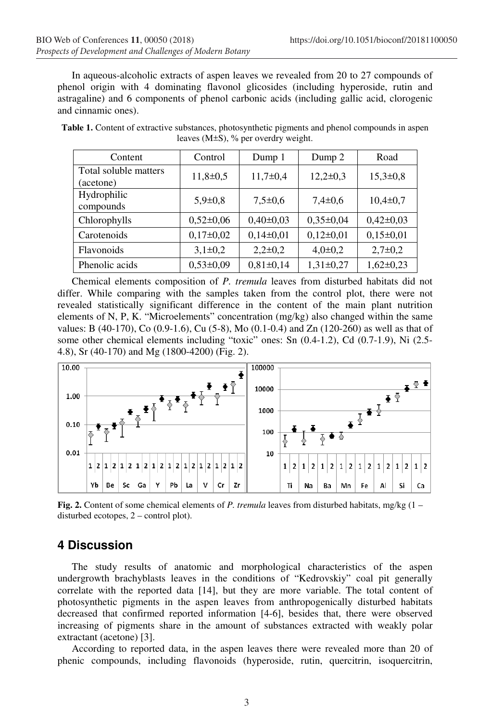In aqueous-alcoholic extracts of aspen leaves we revealed from 20 to 27 compounds of phenol origin with 4 dominating flavonol glicosides (including hyperoside, rutin and astragaline) and 6 components of phenol carbonic acids (including gallic acid, clorogenic and cinnamic ones).

| Content                            | Control       | Dump 1          | Dump 2          | Road           |
|------------------------------------|---------------|-----------------|-----------------|----------------|
| Total soluble matters<br>(acetone) | $11,8+0,5$    | $11,7+0,4$      | $12,2\pm0,3$    | $15,3 \pm 0.8$ |
| Hydrophilic<br>compounds           | $5.9 \pm 0.8$ | $7.5 \pm 0.6$   | $7,4\pm0.6$     | $10,4\pm 0.7$  |
| Chlorophylls                       | $0,52\pm0,06$ | $0.40 \pm 0.03$ | $0.35 \pm 0.04$ | $0,42\pm0,03$  |
| Carotenoids                        | $0,17\pm0,02$ | $0,14\pm0,01$   | $0,12\pm0,01$   | $0,15\pm0,01$  |
| Flavonoids                         | $3,1\pm0,2$   | $2,2\pm0,2$     | $4,0\pm0,2$     | $2,7\pm0.2$    |
| Phenolic acids                     | $0,53\pm0.09$ | $0,81\pm0,14$   | $1,31\pm0,27$   | $1,62\pm0,23$  |

**Table 1.** Content of extractive substances, photosynthetic pigments and phenol compounds in aspen leaves (M±S), % per overdry weight.

Chemical elements composition of *P. tremula* leaves from disturbed habitats did not differ. While comparing with the samples taken from the control plot, there were not revealed statistically significant difference in the content of the main plant nutrition elements of N, P, K. "Microelements" concentration (mg/kg) also changed within the same values: B (40-170), Co (0.9-1.6), Cu (5-8), Mo (0.1-0.4) and Zn (120-260) as well as that of some other chemical elements including "toxic" ones: Sn (0.4-1.2), Cd (0.7-1.9), Ni (2.5- 4.8), Sr (40-170) and Mg (1800-4200) (Fig. 2).



**Fig. 2.** Content of some chemical elements of *P. tremula* leaves from disturbed habitats, mg/kg (1 – disturbed ecotopes, 2 – control plot).

## **4 Discussion**

The study results of anatomic and morphological characteristics of the aspen undergrowth brachyblasts leaves in the conditions of "Kedrovskiy" coal pit generally correlate with the reported data [14], but they are more variable. The total content of photosynthetic pigments in the aspen leaves from anthropogenically disturbed habitats decreased that confirmed reported information [4-6], besides that, there were observed increasing of pigments share in the amount of substances extracted with weakly polar extractant (acetone) [3].

According to reported data, in the aspen leaves there were revealed more than 20 of phenic compounds, including flavonoids (hyperoside, rutin, quercitrin, isoquercitrin,